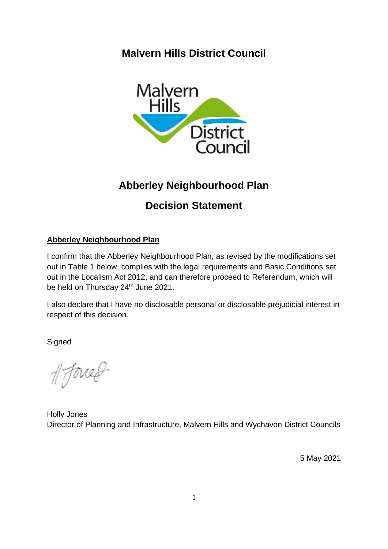## **Malvern Hills District Council**



# **Abberley Neighbourhood Plan**

## **Decision Statement**

#### **Abberley Neighbourhood Plan**

I confirm that the Abberley Neighbourhood Plan, as revised by the modifications set out in Table 1 below, complies with the legal requirements and Basic Conditions set out in the Localism Act 2012, and can therefore proceed to Referendum, which will be held on Thursday 24<sup>th</sup> June 2021.

I also declare that I have no disclosable personal or disclosable prejudicial interest in respect of this decision.

**Signed** 

# forces

Holly Jones Director of Planning and Infrastructure, Malvern Hills and Wychavon District Councils

5 May 2021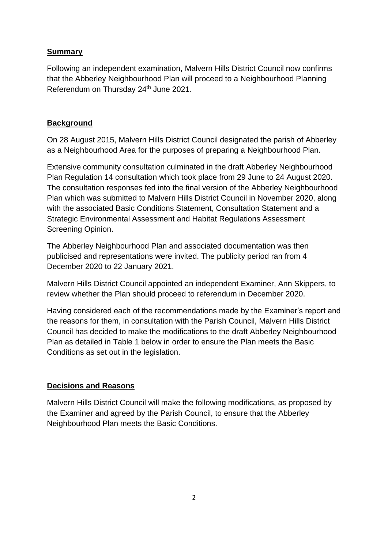#### **Summary**

Following an independent examination, Malvern Hills District Council now confirms that the Abberley Neighbourhood Plan will proceed to a Neighbourhood Planning Referendum on Thursday 24<sup>th</sup> June 2021.

#### **Background**

On 28 August 2015, Malvern Hills District Council designated the parish of Abberley as a Neighbourhood Area for the purposes of preparing a Neighbourhood Plan.

Extensive community consultation culminated in the draft Abberley Neighbourhood Plan Regulation 14 consultation which took place from 29 June to 24 August 2020. The consultation responses fed into the final version of the Abberley Neighbourhood Plan which was submitted to Malvern Hills District Council in November 2020, along with the associated Basic Conditions Statement, Consultation Statement and a Strategic Environmental Assessment and Habitat Regulations Assessment Screening Opinion.

The Abberley Neighbourhood Plan and associated documentation was then publicised and representations were invited. The publicity period ran from 4 December 2020 to 22 January 2021.

Malvern Hills District Council appointed an independent Examiner, Ann Skippers, to review whether the Plan should proceed to referendum in December 2020.

Having considered each of the recommendations made by the Examiner's report and the reasons for them, in consultation with the Parish Council, Malvern Hills District Council has decided to make the modifications to the draft Abberley Neighbourhood Plan as detailed in Table 1 below in order to ensure the Plan meets the Basic Conditions as set out in the legislation.

### **Decisions and Reasons**

Malvern Hills District Council will make the following modifications, as proposed by the Examiner and agreed by the Parish Council, to ensure that the Abberley Neighbourhood Plan meets the Basic Conditions.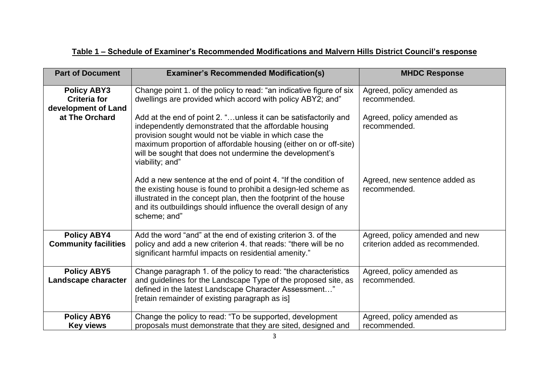### **Table 1 – Schedule of Examiner's Recommended Modifications and Malvern Hills District Council's response**

| <b>Part of Document</b>                                          | <b>Examiner's Recommended Modification(s)</b>                                                                                                                                                                                                                                                                                          | <b>MHDC Response</b>                                              |
|------------------------------------------------------------------|----------------------------------------------------------------------------------------------------------------------------------------------------------------------------------------------------------------------------------------------------------------------------------------------------------------------------------------|-------------------------------------------------------------------|
| <b>Policy ABY3</b><br><b>Criteria for</b><br>development of Land | Change point 1. of the policy to read: "an indicative figure of six<br>dwellings are provided which accord with policy ABY2; and"                                                                                                                                                                                                      | Agreed, policy amended as<br>recommended.                         |
| at The Orchard                                                   | Add at the end of point 2. "unless it can be satisfactorily and<br>independently demonstrated that the affordable housing<br>provision sought would not be viable in which case the<br>maximum proportion of affordable housing (either on or off-site)<br>will be sought that does not undermine the development's<br>viability; and" | Agreed, policy amended as<br>recommended.                         |
|                                                                  | Add a new sentence at the end of point 4. "If the condition of<br>the existing house is found to prohibit a design-led scheme as<br>illustrated in the concept plan, then the footprint of the house<br>and its outbuildings should influence the overall design of any<br>scheme; and"                                                | Agreed, new sentence added as<br>recommended.                     |
| <b>Policy ABY4</b><br><b>Community facilities</b>                | Add the word "and" at the end of existing criterion 3. of the<br>policy and add a new criterion 4. that reads: "there will be no<br>significant harmful impacts on residential amenity."                                                                                                                                               | Agreed, policy amended and new<br>criterion added as recommended. |
| <b>Policy ABY5</b><br>Landscape character                        | Change paragraph 1. of the policy to read: "the characteristics<br>and guidelines for the Landscape Type of the proposed site, as<br>defined in the latest Landscape Character Assessment"<br>[retain remainder of existing paragraph as is]                                                                                           | Agreed, policy amended as<br>recommended.                         |
| <b>Policy ABY6</b><br><b>Key views</b>                           | Change the policy to read: "To be supported, development<br>proposals must demonstrate that they are sited, designed and                                                                                                                                                                                                               | Agreed, policy amended as<br>recommended.                         |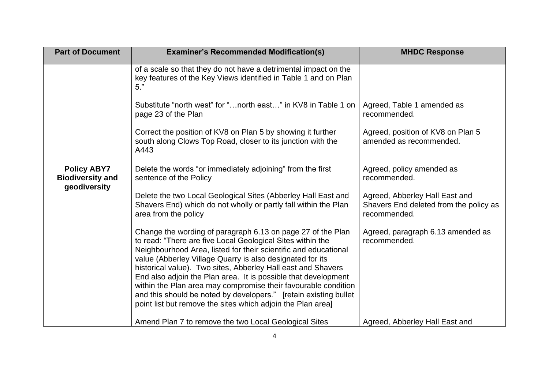| <b>Part of Document</b>                                       | <b>Examiner's Recommended Modification(s)</b>                                                                                                                                                                                                                                                                                                                                                                                                                                                                                                                                                     | <b>MHDC Response</b>                                                                     |
|---------------------------------------------------------------|---------------------------------------------------------------------------------------------------------------------------------------------------------------------------------------------------------------------------------------------------------------------------------------------------------------------------------------------------------------------------------------------------------------------------------------------------------------------------------------------------------------------------------------------------------------------------------------------------|------------------------------------------------------------------------------------------|
|                                                               | of a scale so that they do not have a detrimental impact on the<br>key features of the Key Views identified in Table 1 and on Plan<br>$5.$ "                                                                                                                                                                                                                                                                                                                                                                                                                                                      |                                                                                          |
|                                                               | Substitute "north west" for "north east" in KV8 in Table 1 on<br>page 23 of the Plan                                                                                                                                                                                                                                                                                                                                                                                                                                                                                                              | Agreed, Table 1 amended as<br>recommended.                                               |
|                                                               | Correct the position of KV8 on Plan 5 by showing it further<br>south along Clows Top Road, closer to its junction with the<br>A443                                                                                                                                                                                                                                                                                                                                                                                                                                                                | Agreed, position of KV8 on Plan 5<br>amended as recommended.                             |
| <b>Policy ABY7</b><br><b>Biodiversity and</b><br>geodiversity | Delete the words "or immediately adjoining" from the first<br>sentence of the Policy                                                                                                                                                                                                                                                                                                                                                                                                                                                                                                              | Agreed, policy amended as<br>recommended.                                                |
|                                                               | Delete the two Local Geological Sites (Abberley Hall East and<br>Shavers End) which do not wholly or partly fall within the Plan<br>area from the policy                                                                                                                                                                                                                                                                                                                                                                                                                                          | Agreed, Abberley Hall East and<br>Shavers End deleted from the policy as<br>recommended. |
|                                                               | Change the wording of paragraph 6.13 on page 27 of the Plan<br>to read: "There are five Local Geological Sites within the<br>Neighbourhood Area, listed for their scientific and educational<br>value (Abberley Village Quarry is also designated for its<br>historical value). Two sites, Abberley Hall east and Shavers<br>End also adjoin the Plan area. It is possible that development<br>within the Plan area may compromise their favourable condition<br>and this should be noted by developers." [retain existing bullet]<br>point list but remove the sites which adjoin the Plan area] | Agreed, paragraph 6.13 amended as<br>recommended.                                        |
|                                                               | Amend Plan 7 to remove the two Local Geological Sites                                                                                                                                                                                                                                                                                                                                                                                                                                                                                                                                             | Agreed, Abberley Hall East and                                                           |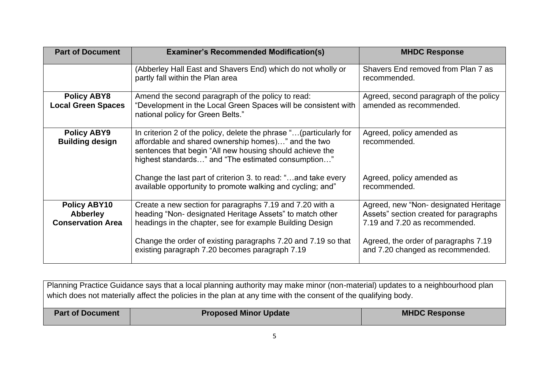| <b>Part of Document</b>                                            | <b>Examiner's Recommended Modification(s)</b>                                                                                                                                                                                                | <b>MHDC Response</b>                                                                                             |
|--------------------------------------------------------------------|----------------------------------------------------------------------------------------------------------------------------------------------------------------------------------------------------------------------------------------------|------------------------------------------------------------------------------------------------------------------|
|                                                                    | (Abberley Hall East and Shavers End) which do not wholly or<br>partly fall within the Plan area                                                                                                                                              | Shavers End removed from Plan 7 as<br>recommended.                                                               |
| <b>Policy ABY8</b><br><b>Local Green Spaces</b>                    | Amend the second paragraph of the policy to read:<br>"Development in the Local Green Spaces will be consistent with<br>national policy for Green Belts."                                                                                     | Agreed, second paragraph of the policy<br>amended as recommended.                                                |
| <b>Policy ABY9</b><br><b>Building design</b>                       | In criterion 2 of the policy, delete the phrase " (particularly for<br>affordable and shared ownership homes)" and the two<br>sentences that begin "All new housing should achieve the<br>highest standards" and "The estimated consumption" | Agreed, policy amended as<br>recommended.                                                                        |
|                                                                    | Change the last part of criterion 3. to read: "and take every<br>available opportunity to promote walking and cycling; and"                                                                                                                  | Agreed, policy amended as<br>recommended.                                                                        |
| <b>Policy ABY10</b><br><b>Abberley</b><br><b>Conservation Area</b> | Create a new section for paragraphs 7.19 and 7.20 with a<br>heading "Non- designated Heritage Assets" to match other<br>headings in the chapter, see for example Building Design                                                             | Agreed, new "Non- designated Heritage<br>Assets" section created for paragraphs<br>7.19 and 7.20 as recommended. |
|                                                                    | Change the order of existing paragraphs 7.20 and 7.19 so that<br>existing paragraph 7.20 becomes paragraph 7.19                                                                                                                              | Agreed, the order of paragraphs 7.19<br>and 7.20 changed as recommended.                                         |

Planning Practice Guidance says that a local planning authority may make minor (non-material) updates to a neighbourhood plan which does not materially affect the policies in the plan at any time with the consent of the qualifying body.

| <b>Part of Document</b> | <b>Proposed Minor Update</b> | <b>MHDC Response</b> |
|-------------------------|------------------------------|----------------------|
|                         |                              |                      |